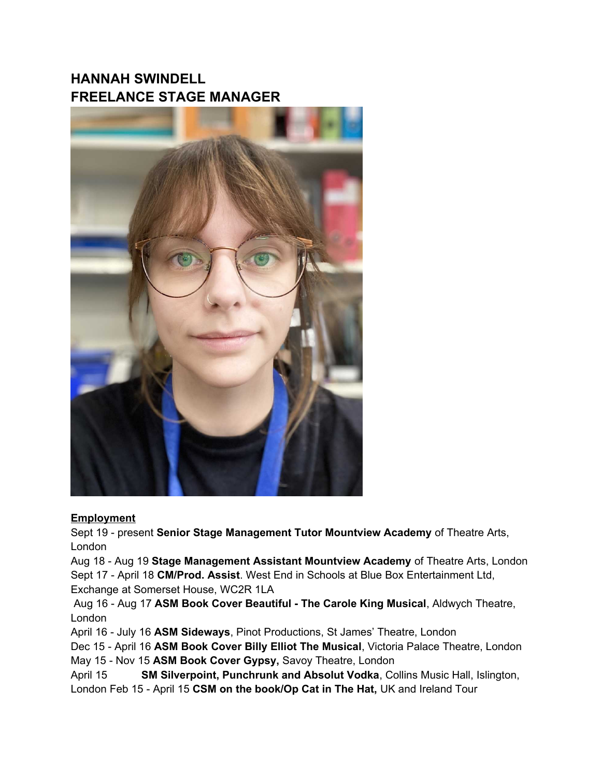## **HANNAH SWINDELL FREELANCE STAGE MANAGER**



## **Employment**

Sept 19 - present **Senior Stage Management Tutor Mountview Academy** of Theatre Arts, London

Aug 18 - Aug 19 **Stage Management Assistant Mountview Academy** of Theatre Arts, London Sept 17 - April 18 **CM/Prod. Assist**. West End in Schools at Blue Box Entertainment Ltd, Exchange at Somerset House, WC2R 1LA

 Aug 16 - Aug 17 **ASM Book Cover Beautiful - The Carole King Musical**, Aldwych Theatre, London

April 16 - July 16 **ASM Sideways**, Pinot Productions, St James' Theatre, London

Dec 15 - April 16 **ASM Book Cover Billy Elliot The Musical**, Victoria Palace Theatre, London May 15 - Nov 15 **ASM Book Cover Gypsy,** Savoy Theatre, London

April 15 **SM Silverpoint, Punchrunk and Absolut Vodka**, Collins Music Hall, Islington, London Feb 15 - April 15 **CSM on the book/Op Cat in The Hat,** UK and Ireland Tour